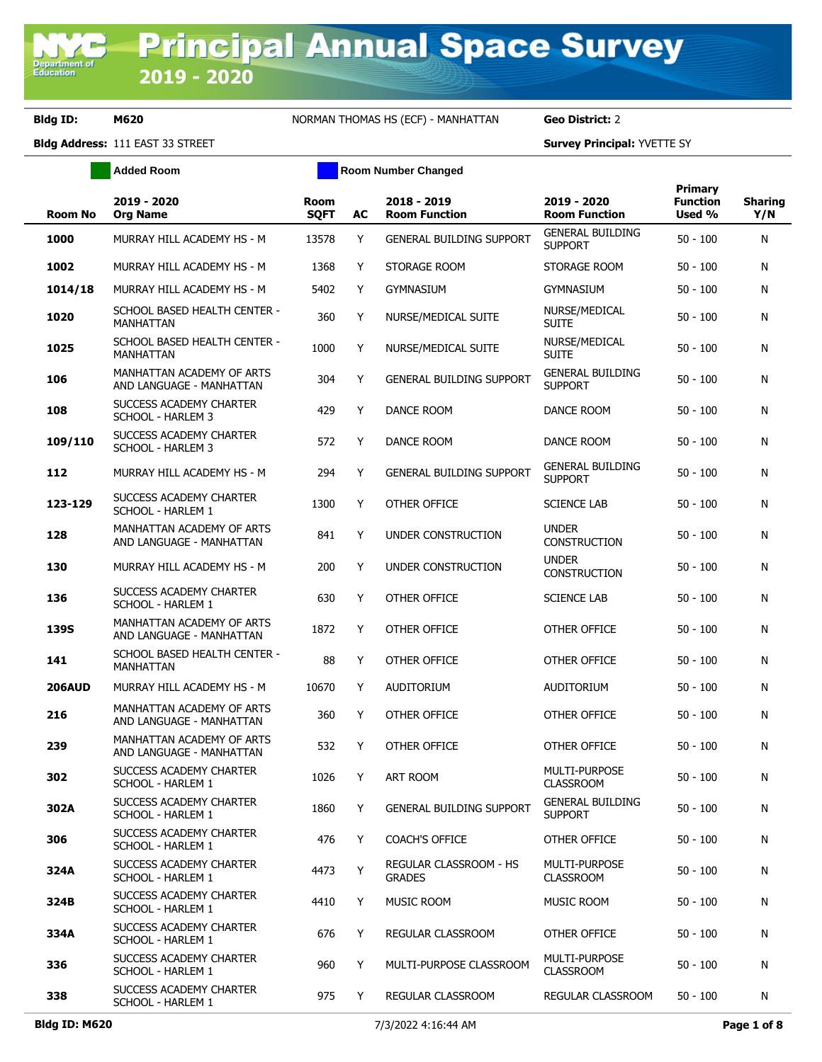Department o<br>Education

**Bldg ID: M620** NORMAN THOMAS HS (ECF) - MANHATTAN **Geo District:** 2

**Added Room Room Room Number Changed** 

|                |                                                       |                            |    |                                         |                                           | Primary                   |                       |
|----------------|-------------------------------------------------------|----------------------------|----|-----------------------------------------|-------------------------------------------|---------------------------|-----------------------|
| <b>Room No</b> | 2019 - 2020<br><b>Org Name</b>                        | <b>Room</b><br><b>SQFT</b> | AC | 2018 - 2019<br><b>Room Function</b>     | 2019 - 2020<br><b>Room Function</b>       | <b>Function</b><br>Used % | <b>Sharing</b><br>Y/N |
| 1000           | MURRAY HILL ACADEMY HS - M                            | 13578                      | Y  | <b>GENERAL BUILDING SUPPORT</b>         | <b>GENERAL BUILDING</b><br><b>SUPPORT</b> | $50 - 100$                | N                     |
| 1002           | MURRAY HILL ACADEMY HS - M                            | 1368                       | Y  | STORAGE ROOM                            | STORAGE ROOM                              | $50 - 100$                | N                     |
| 1014/18        | MURRAY HILL ACADEMY HS - M                            | 5402                       | Y  | <b>GYMNASIUM</b>                        | GYMNASIUM                                 | $50 - 100$                | N                     |
| 1020           | SCHOOL BASED HEALTH CENTER -<br>MANHATTAN             | 360                        | Y  | NURSE/MEDICAL SUITE                     | NURSE/MEDICAL<br><b>SUITE</b>             | $50 - 100$                | N                     |
| 1025           | SCHOOL BASED HEALTH CENTER -<br>MANHATTAN             | 1000                       | Y  | NURSE/MEDICAL SUITE                     | NURSE/MEDICAL<br><b>SUITE</b>             | $50 - 100$                | N                     |
| 106            | MANHATTAN ACADEMY OF ARTS<br>AND LANGUAGE - MANHATTAN | 304                        | Y  | <b>GENERAL BUILDING SUPPORT</b>         | <b>GENERAL BUILDING</b><br><b>SUPPORT</b> | $50 - 100$                | N                     |
| 108            | SUCCESS ACADEMY CHARTER<br>SCHOOL - HARLEM 3          | 429                        | Y  | DANCE ROOM                              | DANCE ROOM                                | $50 - 100$                | N                     |
| 109/110        | SUCCESS ACADEMY CHARTER<br>SCHOOL - HARLEM 3          | 572                        | Y  | DANCE ROOM                              | DANCE ROOM                                | $50 - 100$                | N                     |
| 112            | MURRAY HILL ACADEMY HS - M                            | 294                        | Y  | <b>GENERAL BUILDING SUPPORT</b>         | <b>GENERAL BUILDING</b><br><b>SUPPORT</b> | $50 - 100$                | N                     |
| 123-129        | SUCCESS ACADEMY CHARTER<br>SCHOOL - HARLEM 1          | 1300                       | Y  | OTHER OFFICE                            | <b>SCIENCE LAB</b>                        | $50 - 100$                | N                     |
| 128            | MANHATTAN ACADEMY OF ARTS<br>AND LANGUAGE - MANHATTAN | 841                        | Y  | UNDER CONSTRUCTION                      | <b>UNDER</b><br><b>CONSTRUCTION</b>       | $50 - 100$                | N                     |
| 130            | MURRAY HILL ACADEMY HS - M                            | 200                        | Y  | UNDER CONSTRUCTION                      | <b>UNDER</b><br><b>CONSTRUCTION</b>       | $50 - 100$                | N                     |
| 136            | SUCCESS ACADEMY CHARTER<br>SCHOOL - HARLEM 1          | 630                        | Y  | OTHER OFFICE                            | <b>SCIENCE LAB</b>                        | $50 - 100$                | N                     |
| <b>139S</b>    | MANHATTAN ACADEMY OF ARTS<br>AND LANGUAGE - MANHATTAN | 1872                       | Y  | OTHER OFFICE                            | OTHER OFFICE                              | $50 - 100$                | N                     |
| 141            | SCHOOL BASED HEALTH CENTER -<br>MANHATTAN             | 88                         | Y  | OTHER OFFICE                            | OTHER OFFICE                              | $50 - 100$                | N                     |
| <b>206AUD</b>  | MURRAY HILL ACADEMY HS - M                            | 10670                      | Y  | <b>AUDITORIUM</b>                       | <b>AUDITORIUM</b>                         | $50 - 100$                | N                     |
| 216            | MANHATTAN ACADEMY OF ARTS<br>AND LANGUAGE - MANHATTAN | 360                        | Y  | OTHER OFFICE                            | OTHER OFFICE                              | $50 - 100$                | N                     |
| 239            | MANHATTAN ACADEMY OF ARTS<br>AND LANGUAGE - MANHATTAN | 532                        | Y  | OTHER OFFICE                            | OTHER OFFICE                              | $50 - 100$                | N                     |
| 302            | SUCCESS ACADEMY CHARTER<br>SCHOOL - HARLEM 1          | 1026                       | Y  | ART ROOM                                | <b>MULTI-PURPOSE</b><br><b>CLASSROOM</b>  | $50 - 100$                | N                     |
| 302A           | SUCCESS ACADEMY CHARTER<br>SCHOOL - HARLEM 1          | 1860                       | Y  | <b>GENERAL BUILDING SUPPORT</b>         | <b>GENERAL BUILDING</b><br><b>SUPPORT</b> | $50 - 100$                | N                     |
| 306            | SUCCESS ACADEMY CHARTER<br>SCHOOL - HARLEM 1          | 476                        | Y  | <b>COACH'S OFFICE</b>                   | OTHER OFFICE                              | $50 - 100$                | N                     |
| 324A           | SUCCESS ACADEMY CHARTER<br>SCHOOL - HARLEM 1          | 4473                       | Y  | REGULAR CLASSROOM - HS<br><b>GRADES</b> | MULTI-PURPOSE<br><b>CLASSROOM</b>         | $50 - 100$                | N                     |
| 324B           | SUCCESS ACADEMY CHARTER<br>SCHOOL - HARLEM 1          | 4410                       | Y  | MUSIC ROOM                              | MUSIC ROOM                                | 50 - 100                  | N                     |
| 334A           | SUCCESS ACADEMY CHARTER<br>SCHOOL - HARLEM 1          | 676                        | Y  | <b>REGULAR CLASSROOM</b>                | OTHER OFFICE                              | $50 - 100$                | N                     |
| 336            | SUCCESS ACADEMY CHARTER<br>SCHOOL - HARLEM 1          | 960                        | Y  | MULTI-PURPOSE CLASSROOM                 | MULTI-PURPOSE<br><b>CLASSROOM</b>         | $50 - 100$                | N                     |
| 338            | SUCCESS ACADEMY CHARTER<br>SCHOOL - HARLEM 1          | 975                        | Y  | REGULAR CLASSROOM                       | REGULAR CLASSROOM                         | $50 - 100$                | N                     |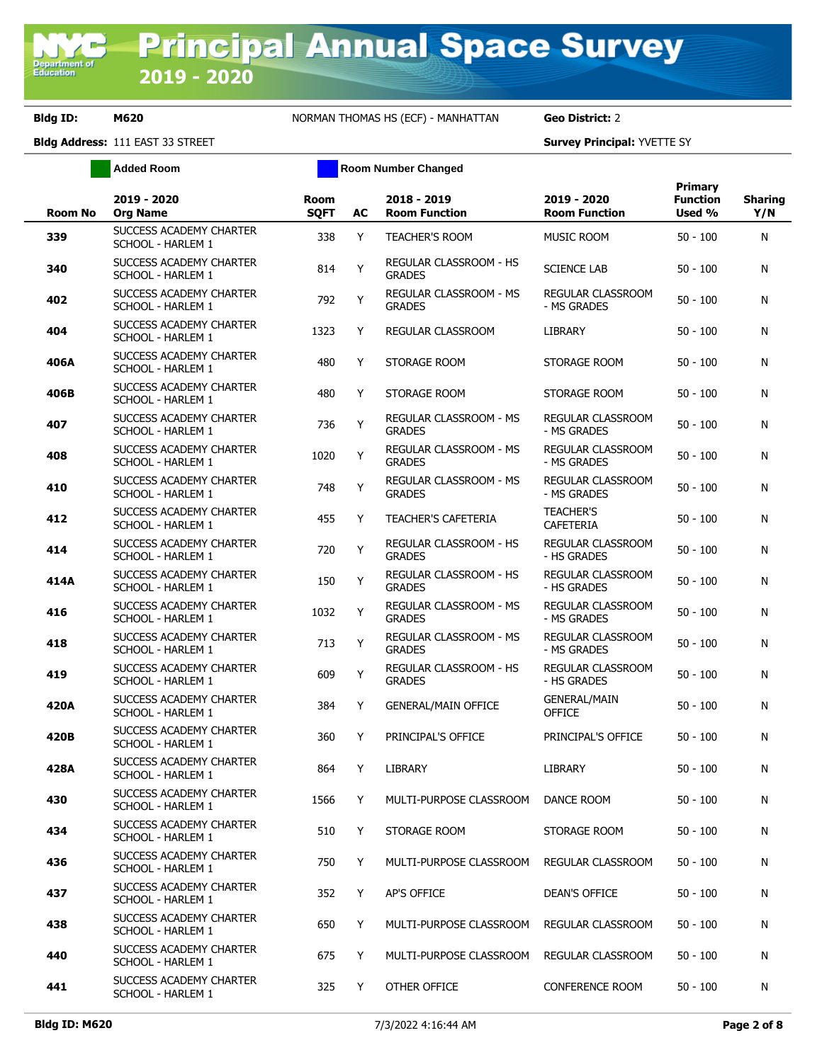**Added Room Room Room Number Changed** 

| <b>Room No</b> | 2019 - 2020<br><b>Org Name</b>               | <b>Room</b><br><b>SOFT</b> | AC | 2018 - 2019<br><b>Room Function</b>            | 2019 - 2020<br><b>Room Function</b>     | Primary<br><b>Function</b><br>Used % | <b>Sharing</b><br>Y/N |
|----------------|----------------------------------------------|----------------------------|----|------------------------------------------------|-----------------------------------------|--------------------------------------|-----------------------|
| 339            | SUCCESS ACADEMY CHARTER<br>SCHOOL - HARLEM 1 | 338                        | Y  | <b>TEACHER'S ROOM</b>                          | <b>MUSIC ROOM</b>                       | $50 - 100$                           | N                     |
| 340            | SUCCESS ACADEMY CHARTER<br>SCHOOL - HARLEM 1 | 814                        | Y  | REGULAR CLASSROOM - HS<br><b>GRADES</b>        | <b>SCIENCE LAB</b>                      | $50 - 100$                           | N                     |
| 402            | SUCCESS ACADEMY CHARTER<br>SCHOOL - HARLEM 1 | 792                        | Y  | <b>REGULAR CLASSROOM - MS</b><br><b>GRADES</b> | <b>REGULAR CLASSROOM</b><br>- MS GRADES | $50 - 100$                           | N                     |
| 404            | SUCCESS ACADEMY CHARTER<br>SCHOOL - HARLEM 1 | 1323                       | Y  | REGULAR CLASSROOM                              | LIBRARY                                 | $50 - 100$                           | N                     |
| 406A           | SUCCESS ACADEMY CHARTER<br>SCHOOL - HARLEM 1 | 480                        | Y  | STORAGE ROOM                                   | STORAGE ROOM                            | 50 - 100                             | N                     |
| 406B           | SUCCESS ACADEMY CHARTER<br>SCHOOL - HARLEM 1 | 480                        | Y  | STORAGE ROOM                                   | STORAGE ROOM                            | 50 - 100                             | N                     |
| 407            | SUCCESS ACADEMY CHARTER<br>SCHOOL - HARLEM 1 | 736                        | Y  | REGULAR CLASSROOM - MS<br><b>GRADES</b>        | <b>REGULAR CLASSROOM</b><br>- MS GRADES | $50 - 100$                           | N                     |
| 408            | SUCCESS ACADEMY CHARTER<br>SCHOOL - HARLEM 1 | 1020                       | Y  | <b>REGULAR CLASSROOM - MS</b><br><b>GRADES</b> | <b>REGULAR CLASSROOM</b><br>- MS GRADES | $50 - 100$                           | N                     |
| 410            | SUCCESS ACADEMY CHARTER<br>SCHOOL - HARLEM 1 | 748                        | Y  | <b>REGULAR CLASSROOM - MS</b><br><b>GRADES</b> | <b>REGULAR CLASSROOM</b><br>- MS GRADES | $50 - 100$                           | N                     |
| 412            | SUCCESS ACADEMY CHARTER<br>SCHOOL - HARLEM 1 | 455                        | Y  | <b>TEACHER'S CAFETERIA</b>                     | <b>TEACHER'S</b><br><b>CAFETERIA</b>    | $50 - 100$                           | N                     |
| 414            | SUCCESS ACADEMY CHARTER<br>SCHOOL - HARLEM 1 | 720                        | Y  | REGULAR CLASSROOM - HS<br><b>GRADES</b>        | REGULAR CLASSROOM<br>- HS GRADES        | $50 - 100$                           | N                     |
| 414A           | SUCCESS ACADEMY CHARTER<br>SCHOOL - HARLEM 1 | 150                        | Y  | REGULAR CLASSROOM - HS<br><b>GRADES</b>        | REGULAR CLASSROOM<br>- HS GRADES        | $50 - 100$                           | N                     |
| 416            | SUCCESS ACADEMY CHARTER<br>SCHOOL - HARLEM 1 | 1032                       | Υ  | REGULAR CLASSROOM - MS<br><b>GRADES</b>        | REGULAR CLASSROOM<br>- MS GRADES        | $50 - 100$                           | N                     |
| 418            | SUCCESS ACADEMY CHARTER<br>SCHOOL - HARLEM 1 | 713                        | Υ  | REGULAR CLASSROOM - MS<br><b>GRADES</b>        | REGULAR CLASSROOM<br>- MS GRADES        | $50 - 100$                           | N                     |
| 419            | SUCCESS ACADEMY CHARTER<br>SCHOOL - HARLEM 1 | 609                        | Y  | REGULAR CLASSROOM - HS<br><b>GRADES</b>        | REGULAR CLASSROOM<br>- HS GRADES        | $50 - 100$                           | N                     |
| 420A           | SUCCESS ACADEMY CHARTER<br>SCHOOL - HARLEM 1 | 384                        | Y  | <b>GENERAL/MAIN OFFICE</b>                     | <b>GENERAL/MAIN</b><br><b>OFFICE</b>    | 50 - 100                             | N                     |
| 420B           | SUCCESS ACADEMY CHARTER<br>SCHOOL - HARLEM 1 | 360                        | Y  | PRINCIPAL'S OFFICE                             | PRINCIPAL'S OFFICE                      | $50 - 100$                           | N                     |
| 428A           | SUCCESS ACADEMY CHARTER<br>SCHOOL - HARLEM 1 | 864                        | Y  | <b>LIBRARY</b>                                 | <b>LIBRARY</b>                          | $50 - 100$                           | N                     |
| 430            | SUCCESS ACADEMY CHARTER<br>SCHOOL - HARLEM 1 | 1566                       | Y  | MULTI-PURPOSE CLASSROOM                        | DANCE ROOM                              | $50 - 100$                           | N                     |
| 434            | SUCCESS ACADEMY CHARTER<br>SCHOOL - HARLEM 1 | 510                        | Y  | STORAGE ROOM                                   | STORAGE ROOM                            | $50 - 100$                           | N                     |
| 436            | SUCCESS ACADEMY CHARTER<br>SCHOOL - HARLEM 1 | 750                        | Y  | MULTI-PURPOSE CLASSROOM                        | REGULAR CLASSROOM                       | 50 - 100                             | N                     |
| 437            | SUCCESS ACADEMY CHARTER<br>SCHOOL - HARLEM 1 | 352                        | Y  | AP'S OFFICE                                    | DEAN'S OFFICE                           | 50 - 100                             | N                     |
| 438            | SUCCESS ACADEMY CHARTER<br>SCHOOL - HARLEM 1 | 650                        | Y  | MULTI-PURPOSE CLASSROOM                        | REGULAR CLASSROOM                       | $50 - 100$                           | N                     |
| 440            | SUCCESS ACADEMY CHARTER<br>SCHOOL - HARLEM 1 | 675                        | Y  | MULTI-PURPOSE CLASSROOM                        | REGULAR CLASSROOM                       | $50 - 100$                           | N                     |
| 441            | SUCCESS ACADEMY CHARTER<br>SCHOOL - HARLEM 1 | 325                        | Y  | OTHER OFFICE                                   | CONFERENCE ROOM                         | $50 - 100$                           | N                     |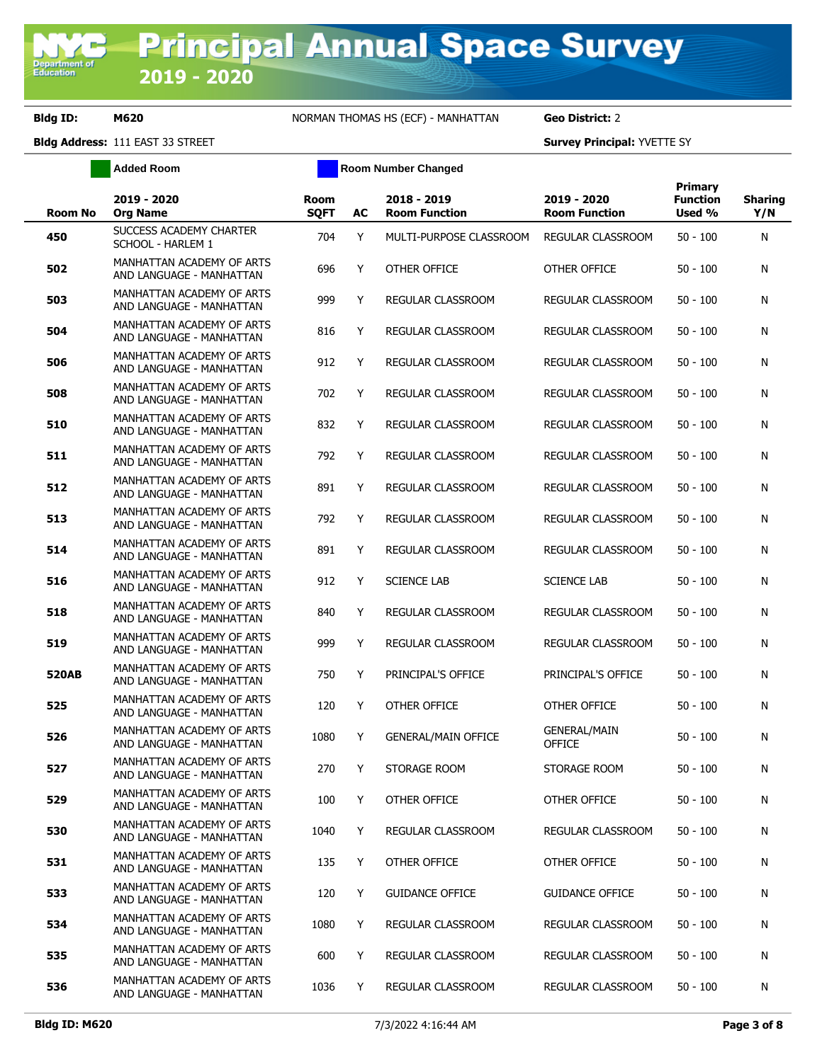**Added Room Room Room Number Changed** 

| <b>Room No</b> | 2019 - 2020<br><b>Org Name</b>                        | Room<br><b>SQFT</b> | AC | 2018 - 2019<br><b>Room Function</b> | 2019 - 2020<br><b>Room Function</b>  | <b>Primary</b><br><b>Function</b><br>Used % | <b>Sharing</b><br>Y/N |
|----------------|-------------------------------------------------------|---------------------|----|-------------------------------------|--------------------------------------|---------------------------------------------|-----------------------|
| 450            | SUCCESS ACADEMY CHARTER<br>SCHOOL - HARLEM 1          | 704                 | Y  | MULTI-PURPOSE CLASSROOM             | REGULAR CLASSROOM                    | $50 - 100$                                  | N                     |
| 502            | MANHATTAN ACADEMY OF ARTS<br>AND LANGUAGE - MANHATTAN | 696                 | Y  | OTHER OFFICE                        | OTHER OFFICE                         | $50 - 100$                                  | N                     |
| 503            | MANHATTAN ACADEMY OF ARTS<br>AND LANGUAGE - MANHATTAN | 999                 | Y  | REGULAR CLASSROOM                   | REGULAR CLASSROOM                    | $50 - 100$                                  | N                     |
| 504            | MANHATTAN ACADEMY OF ARTS<br>AND LANGUAGE - MANHATTAN | 816                 | Y  | REGULAR CLASSROOM                   | REGULAR CLASSROOM                    | $50 - 100$                                  | N                     |
| 506            | MANHATTAN ACADEMY OF ARTS<br>AND LANGUAGE - MANHATTAN | 912                 | Y  | REGULAR CLASSROOM                   | REGULAR CLASSROOM                    | $50 - 100$                                  | N                     |
| 508            | MANHATTAN ACADEMY OF ARTS<br>AND LANGUAGE - MANHATTAN | 702                 | Y  | REGULAR CLASSROOM                   | REGULAR CLASSROOM                    | $50 - 100$                                  | N                     |
| 510            | MANHATTAN ACADEMY OF ARTS<br>AND LANGUAGE - MANHATTAN | 832                 | Y  | REGULAR CLASSROOM                   | REGULAR CLASSROOM                    | $50 - 100$                                  | N                     |
| 511            | MANHATTAN ACADEMY OF ARTS<br>AND LANGUAGE - MANHATTAN | 792                 | Y  | REGULAR CLASSROOM                   | REGULAR CLASSROOM                    | $50 - 100$                                  | N                     |
| 512            | MANHATTAN ACADEMY OF ARTS<br>AND LANGUAGE - MANHATTAN | 891                 | Y  | REGULAR CLASSROOM                   | REGULAR CLASSROOM                    | $50 - 100$                                  | N                     |
| 513            | MANHATTAN ACADEMY OF ARTS<br>AND LANGUAGE - MANHATTAN | 792                 | Y  | REGULAR CLASSROOM                   | REGULAR CLASSROOM                    | $50 - 100$                                  | N                     |
| 514            | MANHATTAN ACADEMY OF ARTS<br>AND LANGUAGE - MANHATTAN | 891                 | Y  | REGULAR CLASSROOM                   | REGULAR CLASSROOM                    | $50 - 100$                                  | N                     |
| 516            | MANHATTAN ACADEMY OF ARTS<br>AND LANGUAGE - MANHATTAN | 912                 | Y  | <b>SCIENCE LAB</b>                  | <b>SCIENCE LAB</b>                   | $50 - 100$                                  | N                     |
| 518            | MANHATTAN ACADEMY OF ARTS<br>AND LANGUAGE - MANHATTAN | 840                 | Y  | REGULAR CLASSROOM                   | REGULAR CLASSROOM                    | $50 - 100$                                  | N                     |
| 519            | MANHATTAN ACADEMY OF ARTS<br>AND LANGUAGE - MANHATTAN | 999                 | Y  | REGULAR CLASSROOM                   | REGULAR CLASSROOM                    | $50 - 100$                                  | N                     |
| 520AB          | MANHATTAN ACADEMY OF ARTS<br>AND LANGUAGE - MANHATTAN | 750                 | Y  | PRINCIPAL'S OFFICE                  | PRINCIPAL'S OFFICE                   | $50 - 100$                                  | N                     |
| 525            | MANHATTAN ACADEMY OF ARTS<br>AND LANGUAGE - MANHATTAN | 120                 | Y  | OTHER OFFICE                        | OTHER OFFICE                         | $50 - 100$                                  | N                     |
| 526            | MANHATTAN ACADEMY OF ARTS<br>AND LANGUAGE - MANHATTAN | 1080                | Y  | <b>GENERAL/MAIN OFFICE</b>          | <b>GENERAL/MAIN</b><br><b>OFFICE</b> | $50 - 100$                                  | N                     |
| 527            | MANHATTAN ACADEMY OF ARTS<br>AND LANGUAGE - MANHATTAN | 270                 | Y  | STORAGE ROOM                        | STORAGE ROOM                         | $50 - 100$                                  | N                     |
| 529            | MANHATTAN ACADEMY OF ARTS<br>AND LANGUAGE - MANHATTAN | 100                 | Y  | OTHER OFFICE                        | OTHER OFFICE                         | $50 - 100$                                  | N                     |
| 530            | MANHATTAN ACADEMY OF ARTS<br>AND LANGUAGE - MANHATTAN | 1040                | Y  | REGULAR CLASSROOM                   | REGULAR CLASSROOM                    | $50 - 100$                                  | N                     |
| 531            | MANHATTAN ACADEMY OF ARTS<br>AND LANGUAGE - MANHATTAN | 135                 | Y  | OTHER OFFICE                        | OTHER OFFICE                         | $50 - 100$                                  | N                     |
| 533            | MANHATTAN ACADEMY OF ARTS<br>AND LANGUAGE - MANHATTAN | 120                 | Y  | <b>GUIDANCE OFFICE</b>              | <b>GUIDANCE OFFICE</b>               | $50 - 100$                                  | N                     |
| 534            | MANHATTAN ACADEMY OF ARTS<br>AND LANGUAGE - MANHATTAN | 1080                | Y  | REGULAR CLASSROOM                   | REGULAR CLASSROOM                    | $50 - 100$                                  | N                     |
| 535            | MANHATTAN ACADEMY OF ARTS<br>AND LANGUAGE - MANHATTAN | 600                 | Y  | REGULAR CLASSROOM                   | REGULAR CLASSROOM                    | $50 - 100$                                  | N                     |
| 536            | MANHATTAN ACADEMY OF ARTS<br>AND LANGUAGE - MANHATTAN | 1036                | Y  | REGULAR CLASSROOM                   | REGULAR CLASSROOM                    | $50 - 100$                                  | N                     |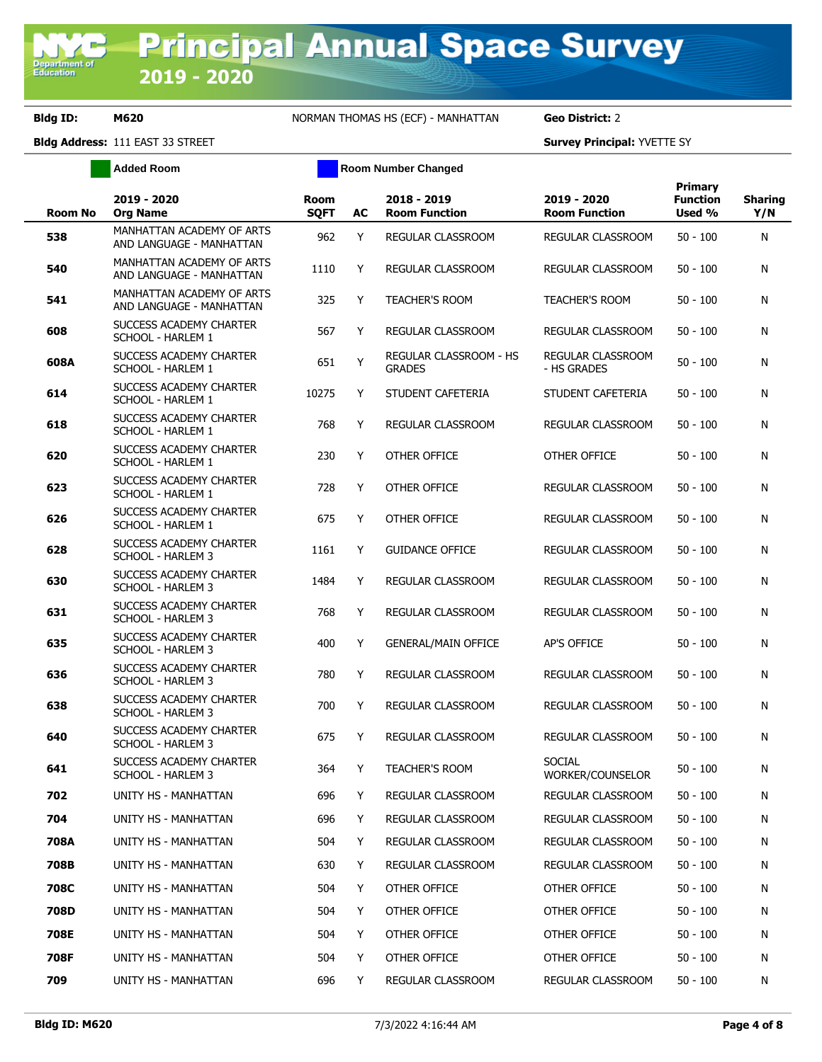**Added Room Room Room Number Changed** 

| <b>Room No</b> | 2019 - 2020<br><b>Org Name</b>                        | Room<br><b>SQFT</b> | AC | 2018 - 2019<br><b>Room Function</b>     | 2019 - 2020<br><b>Room Function</b> | Primary<br><b>Function</b><br>Used % | <b>Sharing</b><br>Y/N |
|----------------|-------------------------------------------------------|---------------------|----|-----------------------------------------|-------------------------------------|--------------------------------------|-----------------------|
| 538            | MANHATTAN ACADEMY OF ARTS<br>AND LANGUAGE - MANHATTAN | 962                 | Y  | REGULAR CLASSROOM                       | REGULAR CLASSROOM                   | $50 - 100$                           | N                     |
| 540            | MANHATTAN ACADEMY OF ARTS<br>AND LANGUAGE - MANHATTAN | 1110                | Y  | <b>REGULAR CLASSROOM</b>                | REGULAR CLASSROOM                   | $50 - 100$                           | N                     |
| 541            | MANHATTAN ACADEMY OF ARTS<br>AND LANGUAGE - MANHATTAN | 325                 | Y  | <b>TEACHER'S ROOM</b>                   | <b>TEACHER'S ROOM</b>               | $50 - 100$                           | N                     |
| 608            | SUCCESS ACADEMY CHARTER<br>SCHOOL - HARLEM 1          | 567                 | Y  | REGULAR CLASSROOM                       | REGULAR CLASSROOM                   | $50 - 100$                           | N                     |
| 608A           | SUCCESS ACADEMY CHARTER<br>SCHOOL - HARLEM 1          | 651                 | Y  | REGULAR CLASSROOM - HS<br><b>GRADES</b> | REGULAR CLASSROOM<br>- HS GRADES    | $50 - 100$                           | N                     |
| 614            | SUCCESS ACADEMY CHARTER<br>SCHOOL - HARLEM 1          | 10275               | Y  | STUDENT CAFETERIA                       | STUDENT CAFETERIA                   | $50 - 100$                           | N                     |
| 618            | SUCCESS ACADEMY CHARTER<br>SCHOOL - HARLEM 1          | 768                 | Y  | REGULAR CLASSROOM                       | REGULAR CLASSROOM                   | $50 - 100$                           | N                     |
| 620            | SUCCESS ACADEMY CHARTER<br>SCHOOL - HARLEM 1          | 230                 | Y  | OTHER OFFICE                            | OTHER OFFICE                        | 50 - 100                             | N                     |
| 623            | SUCCESS ACADEMY CHARTER<br>SCHOOL - HARLEM 1          | 728                 | Y  | OTHER OFFICE                            | REGULAR CLASSROOM                   | $50 - 100$                           | N                     |
| 626            | SUCCESS ACADEMY CHARTER<br>SCHOOL - HARLEM 1          | 675                 | Y  | OTHER OFFICE                            | REGULAR CLASSROOM                   | $50 - 100$                           | N                     |
| 628            | SUCCESS ACADEMY CHARTER<br>SCHOOL - HARLEM 3          | 1161                | Y  | <b>GUIDANCE OFFICE</b>                  | <b>REGULAR CLASSROOM</b>            | $50 - 100$                           | N                     |
| 630            | SUCCESS ACADEMY CHARTER<br>SCHOOL - HARLEM 3          | 1484                | Y  | REGULAR CLASSROOM                       | REGULAR CLASSROOM                   | $50 - 100$                           | N                     |
| 631            | SUCCESS ACADEMY CHARTER<br>SCHOOL - HARLEM 3          | 768                 | Y  | REGULAR CLASSROOM                       | REGULAR CLASSROOM                   | $50 - 100$                           | N                     |
| 635            | SUCCESS ACADEMY CHARTER<br><b>SCHOOL - HARLEM 3</b>   | 400                 | Y  | <b>GENERAL/MAIN OFFICE</b>              | AP'S OFFICE                         | 50 - 100                             | N                     |
| 636            | SUCCESS ACADEMY CHARTER<br>SCHOOL - HARLEM 3          | 780                 | Y  | REGULAR CLASSROOM                       | REGULAR CLASSROOM                   | $50 - 100$                           | N                     |
| 638            | SUCCESS ACADEMY CHARTER<br><b>SCHOOL - HARLEM 3</b>   | 700                 | Y  | REGULAR CLASSROOM                       | REGULAR CLASSROOM                   | $50 - 100$                           | N                     |
| 640            | SUCCESS ACADEMY CHARTER<br><b>SCHOOL - HARLEM 3</b>   | 675                 | Y  | REGULAR CLASSROOM                       | <b>REGULAR CLASSROOM</b>            | $50 - 100$                           | N                     |
| 641            | SUCCESS ACADEMY CHARTER<br>SCHOOL - HARLEM 3          | 364                 | Y  | <b>TEACHER'S ROOM</b>                   | <b>SOCIAL</b><br>WORKER/COUNSELOR   | $50 - 100$                           | N                     |
| 702            | UNITY HS - MANHATTAN                                  | 696                 | Y  | REGULAR CLASSROOM                       | REGULAR CLASSROOM                   | $50 - 100$                           | Ν                     |
| 704            | UNITY HS - MANHATTAN                                  | 696                 | Y  | REGULAR CLASSROOM                       | REGULAR CLASSROOM                   | $50 - 100$                           | N                     |
| 708A           | UNITY HS - MANHATTAN                                  | 504                 | Y. | <b>REGULAR CLASSROOM</b>                | REGULAR CLASSROOM                   | 50 - 100                             | N                     |
| 708B           | UNITY HS - MANHATTAN                                  | 630                 | Y  | REGULAR CLASSROOM                       | REGULAR CLASSROOM                   | $50 - 100$                           | N                     |
| <b>708C</b>    | UNITY HS - MANHATTAN                                  | 504                 | Y. | OTHER OFFICE                            | OTHER OFFICE                        | $50 - 100$                           | N                     |
| 708D           | UNITY HS - MANHATTAN                                  | 504                 | Y  | OTHER OFFICE                            | OTHER OFFICE                        | $50 - 100$                           | N                     |
| 708E           | UNITY HS - MANHATTAN                                  | 504                 | Y  | OTHER OFFICE                            | OTHER OFFICE                        | $50 - 100$                           | N                     |
| 708F           | UNITY HS - MANHATTAN                                  | 504                 | Y  | OTHER OFFICE                            | OTHER OFFICE                        | $50 - 100$                           | N                     |
| 709            | UNITY HS - MANHATTAN                                  | 696                 | Y. | REGULAR CLASSROOM                       | REGULAR CLASSROOM                   | $50 - 100$                           | N                     |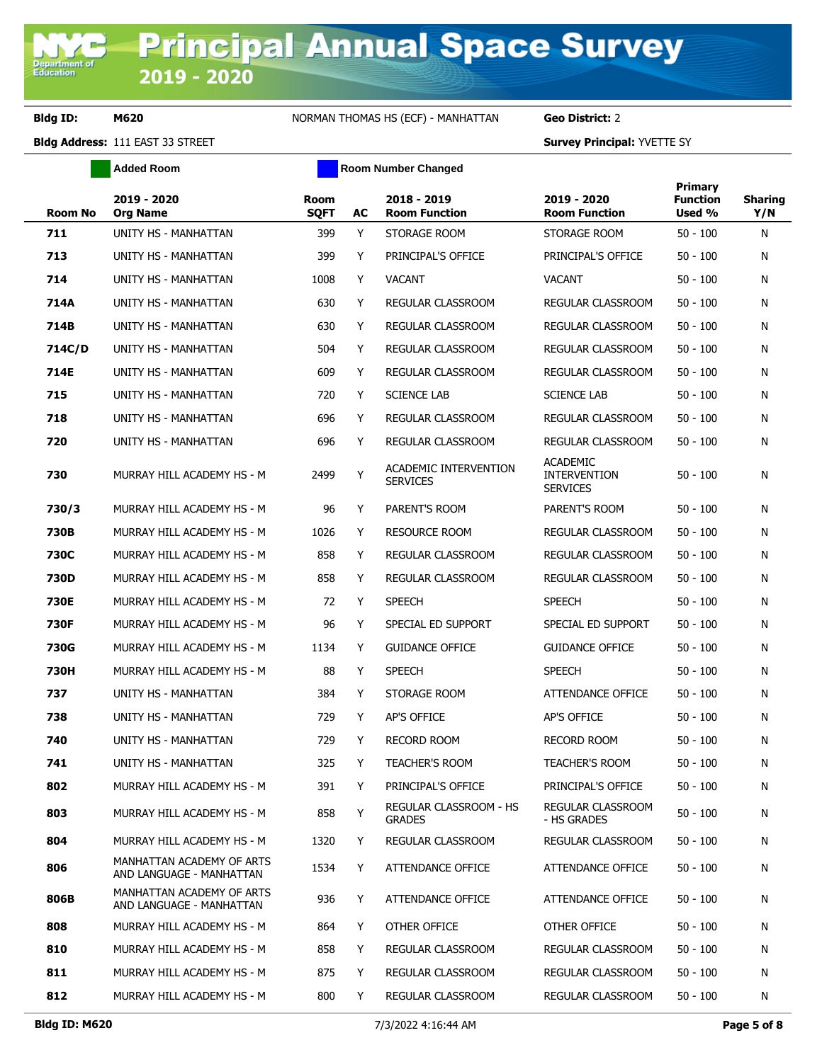**Added Room Room Room Number Changed** 

| <b>Room No</b> | 2019 - 2020<br><b>Org Name</b>                        | Room<br><b>SQFT</b> | AC | 2018 - 2019<br><b>Room Function</b>      | 2019 - 2020<br><b>Room Function</b>                       | Primary<br><b>Function</b><br>Used % | <b>Sharing</b><br>Y/N |
|----------------|-------------------------------------------------------|---------------------|----|------------------------------------------|-----------------------------------------------------------|--------------------------------------|-----------------------|
| 711            | UNITY HS - MANHATTAN                                  | 399                 | Y  | STORAGE ROOM                             | STORAGE ROOM                                              | $50 - 100$                           | N                     |
| 713            | UNITY HS - MANHATTAN                                  | 399                 | Y  | PRINCIPAL'S OFFICE                       | PRINCIPAL'S OFFICE                                        | $50 - 100$                           | N                     |
| 714            | UNITY HS - MANHATTAN                                  | 1008                | Y  | <b>VACANT</b>                            | <b>VACANT</b>                                             | $50 - 100$                           | N                     |
| 714A           | UNITY HS - MANHATTAN                                  | 630                 | Y  | REGULAR CLASSROOM                        | REGULAR CLASSROOM                                         | $50 - 100$                           | N                     |
| 714B           | UNITY HS - MANHATTAN                                  | 630                 | Y  | REGULAR CLASSROOM                        | REGULAR CLASSROOM                                         | 50 - 100                             | N                     |
| 714C/D         | UNITY HS - MANHATTAN                                  | 504                 | Y  | REGULAR CLASSROOM                        | REGULAR CLASSROOM                                         | 50 - 100                             | N                     |
| 714E           | UNITY HS - MANHATTAN                                  | 609                 | Y  | REGULAR CLASSROOM                        | REGULAR CLASSROOM                                         | $50 - 100$                           | N                     |
| 715            | UNITY HS - MANHATTAN                                  | 720                 | Y  | <b>SCIENCE LAB</b>                       | <b>SCIENCE LAB</b>                                        | $50 - 100$                           | N                     |
| 718            | UNITY HS - MANHATTAN                                  | 696                 | Y  | REGULAR CLASSROOM                        | REGULAR CLASSROOM                                         | $50 - 100$                           | N                     |
| 720            | UNITY HS - MANHATTAN                                  | 696                 | Y  | <b>REGULAR CLASSROOM</b>                 | REGULAR CLASSROOM                                         | 50 - 100                             | N                     |
| 730            | MURRAY HILL ACADEMY HS - M                            | 2499                | Υ  | ACADEMIC INTERVENTION<br><b>SERVICES</b> | <b>ACADEMIC</b><br><b>INTERVENTION</b><br><b>SERVICES</b> | $50 - 100$                           | N                     |
| 730/3          | MURRAY HILL ACADEMY HS - M                            | 96                  | Y  | PARENT'S ROOM                            | PARENT'S ROOM                                             | $50 - 100$                           | N                     |
| <b>730B</b>    | MURRAY HILL ACADEMY HS - M                            | 1026                | Y  | <b>RESOURCE ROOM</b>                     | REGULAR CLASSROOM                                         | $50 - 100$                           | N                     |
| 730C           | MURRAY HILL ACADEMY HS - M                            | 858                 | Y  | REGULAR CLASSROOM                        | REGULAR CLASSROOM                                         | $50 - 100$                           | N                     |
| 730D           | MURRAY HILL ACADEMY HS - M                            | 858                 | Y  | REGULAR CLASSROOM                        | REGULAR CLASSROOM                                         | $50 - 100$                           | N                     |
| <b>730E</b>    | MURRAY HILL ACADEMY HS - M                            | 72                  | Y  | <b>SPEECH</b>                            | <b>SPEECH</b>                                             | $50 - 100$                           | N                     |
| 730F           | MURRAY HILL ACADEMY HS - M                            | 96                  | Y  | SPECIAL ED SUPPORT                       | SPECIAL ED SUPPORT                                        | $50 - 100$                           | N                     |
| 730G           | MURRAY HILL ACADEMY HS - M                            | 1134                | Y  | <b>GUIDANCE OFFICE</b>                   | <b>GUIDANCE OFFICE</b>                                    | 50 - 100                             | N                     |
| 730H           | MURRAY HILL ACADEMY HS - M                            | 88                  | Y  | <b>SPEECH</b>                            | <b>SPEECH</b>                                             | $50 - 100$                           | N                     |
| 737            | UNITY HS - MANHATTAN                                  | 384                 | Y  | STORAGE ROOM                             | ATTENDANCE OFFICE                                         | $50 - 100$                           | N                     |
| 738            | UNITY HS - MANHATTAN                                  | 729                 | Y  | AP'S OFFICE                              | AP'S OFFICE                                               | $50 - 100$                           | N                     |
| 740            | UNITY HS - MANHATTAN                                  | 729                 | Y  | <b>RECORD ROOM</b>                       | <b>RECORD ROOM</b>                                        | $50 - 100$                           | N                     |
| 741            | UNITY HS - MANHATTAN                                  | 325                 | Y  | <b>TEACHER'S ROOM</b>                    | <b>TEACHER'S ROOM</b>                                     | $50 - 100$                           | N                     |
| 802            | MURRAY HILL ACADEMY HS - M                            | 391                 | Y  | PRINCIPAL'S OFFICE                       | PRINCIPAL'S OFFICE                                        | $50 - 100$                           | N                     |
| 803            | MURRAY HILL ACADEMY HS - M                            | 858                 | Υ  | REGULAR CLASSROOM - HS<br><b>GRADES</b>  | REGULAR CLASSROOM<br>- HS GRADES                          | $50 - 100$                           | Ν                     |
| 804            | MURRAY HILL ACADEMY HS - M                            | 1320                | Y  | REGULAR CLASSROOM                        | REGULAR CLASSROOM                                         | $50 - 100$                           | N                     |
| 806            | MANHATTAN ACADEMY OF ARTS<br>AND LANGUAGE - MANHATTAN | 1534                | Y  | ATTENDANCE OFFICE                        | ATTENDANCE OFFICE                                         | $50 - 100$                           | N                     |
| 806B           | MANHATTAN ACADEMY OF ARTS<br>AND LANGUAGE - MANHATTAN | 936                 | Y  | ATTENDANCE OFFICE                        | ATTENDANCE OFFICE                                         | $50 - 100$                           | N                     |
| 808            | MURRAY HILL ACADEMY HS - M                            | 864                 | Y  | OTHER OFFICE                             | OTHER OFFICE                                              | $50 - 100$                           | N                     |
| 810            | MURRAY HILL ACADEMY HS - M                            | 858                 | Y  | REGULAR CLASSROOM                        | <b>REGULAR CLASSROOM</b>                                  | $50 - 100$                           | N                     |
| 811            | MURRAY HILL ACADEMY HS - M                            | 875                 | Y  | REGULAR CLASSROOM                        | REGULAR CLASSROOM                                         | $50 - 100$                           | N                     |
| 812            | MURRAY HILL ACADEMY HS - M                            | 800                 | Y  | REGULAR CLASSROOM                        | REGULAR CLASSROOM                                         | $50 - 100$                           | N                     |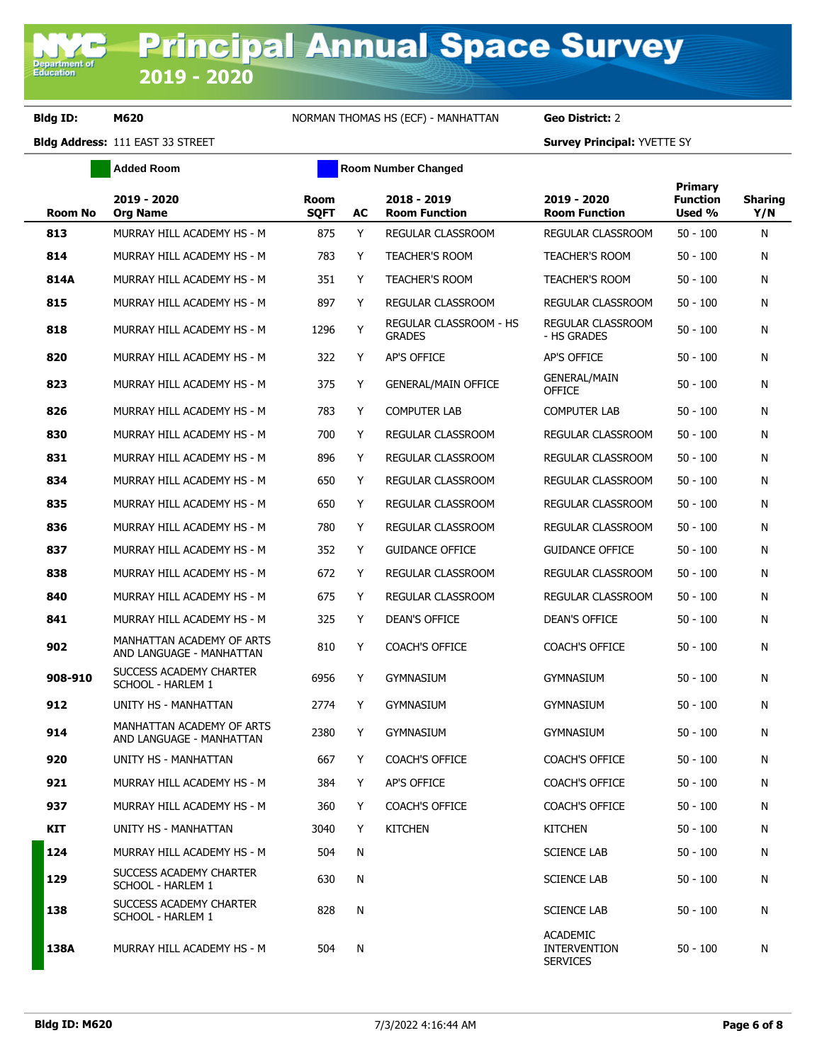**Added Room Room Room Number Changed** 

| <b>Room No</b> | 2019 - 2020<br><b>Org Name</b>                        | <b>Room</b><br><b>SQFT</b> | AC | 2018 - 2019<br><b>Room Function</b>     | 2019 - 2020<br><b>Room Function</b>                       | <b>Primary</b><br><b>Function</b><br>Used % | <b>Sharing</b><br>Y/N |
|----------------|-------------------------------------------------------|----------------------------|----|-----------------------------------------|-----------------------------------------------------------|---------------------------------------------|-----------------------|
| 813            | MURRAY HILL ACADEMY HS - M                            | 875                        | Y  | REGULAR CLASSROOM                       | REGULAR CLASSROOM                                         | $50 - 100$                                  | N                     |
| 814            | MURRAY HILL ACADEMY HS - M                            | 783                        | Y  | <b>TEACHER'S ROOM</b>                   | <b>TEACHER'S ROOM</b>                                     | $50 - 100$                                  | N                     |
| 814A           | MURRAY HILL ACADEMY HS - M                            | 351                        | Y  | <b>TEACHER'S ROOM</b>                   | <b>TEACHER'S ROOM</b>                                     | $50 - 100$                                  | N                     |
| 815            | MURRAY HILL ACADEMY HS - M                            | 897                        | Y  | REGULAR CLASSROOM                       | REGULAR CLASSROOM                                         | $50 - 100$                                  | N                     |
| 818            | MURRAY HILL ACADEMY HS - M                            | 1296                       | Y  | REGULAR CLASSROOM - HS<br><b>GRADES</b> | REGULAR CLASSROOM<br>- HS GRADES                          | $50 - 100$                                  | N                     |
| 820            | MURRAY HILL ACADEMY HS - M                            | 322                        | Y  | <b>AP'S OFFICE</b>                      | AP'S OFFICE                                               | $50 - 100$                                  | N                     |
| 823            | MURRAY HILL ACADEMY HS - M                            | 375                        | Y  | <b>GENERAL/MAIN OFFICE</b>              | <b>GENERAL/MAIN</b><br><b>OFFICE</b>                      | $50 - 100$                                  | N                     |
| 826            | MURRAY HILL ACADEMY HS - M                            | 783                        | Y  | <b>COMPUTER LAB</b>                     | <b>COMPUTER LAB</b>                                       | $50 - 100$                                  | N                     |
| 830            | MURRAY HILL ACADEMY HS - M                            | 700                        | Y  | REGULAR CLASSROOM                       | REGULAR CLASSROOM                                         | $50 - 100$                                  | N                     |
| 831            | MURRAY HILL ACADEMY HS - M                            | 896                        | Y  | REGULAR CLASSROOM                       | REGULAR CLASSROOM                                         | $50 - 100$                                  | N                     |
| 834            | MURRAY HILL ACADEMY HS - M                            | 650                        | Y  | REGULAR CLASSROOM                       | REGULAR CLASSROOM                                         | $50 - 100$                                  | N                     |
| 835            | MURRAY HILL ACADEMY HS - M                            | 650                        | Y  | <b>REGULAR CLASSROOM</b>                | REGULAR CLASSROOM                                         | $50 - 100$                                  | N                     |
| 836            | MURRAY HILL ACADEMY HS - M                            | 780                        | Y  | REGULAR CLASSROOM                       | REGULAR CLASSROOM                                         | $50 - 100$                                  | N                     |
| 837            | MURRAY HILL ACADEMY HS - M                            | 352                        | Y  | <b>GUIDANCE OFFICE</b>                  | <b>GUIDANCE OFFICE</b>                                    | $50 - 100$                                  | N                     |
| 838            | MURRAY HILL ACADEMY HS - M                            | 672                        | Y  | REGULAR CLASSROOM                       | REGULAR CLASSROOM                                         | $50 - 100$                                  | N                     |
| 840            | MURRAY HILL ACADEMY HS - M                            | 675                        | Y  | REGULAR CLASSROOM                       | REGULAR CLASSROOM                                         | $50 - 100$                                  | N                     |
| 841            | MURRAY HILL ACADEMY HS - M                            | 325                        | Y  | DEAN'S OFFICE                           | DEAN'S OFFICE                                             | $50 - 100$                                  | N                     |
| 902            | MANHATTAN ACADEMY OF ARTS<br>AND LANGUAGE - MANHATTAN | 810                        | Y  | <b>COACH'S OFFICE</b>                   | <b>COACH'S OFFICE</b>                                     | $50 - 100$                                  | N                     |
| 908-910        | SUCCESS ACADEMY CHARTER<br>SCHOOL - HARLEM 1          | 6956                       | Y  | GYMNASIUM                               | <b>GYMNASIUM</b>                                          | $50 - 100$                                  | N                     |
| 912            | UNITY HS - MANHATTAN                                  | 2774                       | Y  | <b>GYMNASIUM</b>                        | <b>GYMNASIUM</b>                                          | $50 - 100$                                  | N                     |
| 914            | MANHATTAN ACADEMY OF ARTS<br>AND LANGUAGE - MANHATTAN | 2380                       | Y  | <b>GYMNASIUM</b>                        | <b>GYMNASIUM</b>                                          | $50 - 100$                                  | N                     |
| 920            | UNITY HS - MANHATTAN                                  | 667                        | Y  | <b>COACH'S OFFICE</b>                   | <b>COACH'S OFFICE</b>                                     | $50 - 100$                                  | N                     |
| 921            | MURRAY HILL ACADEMY HS - M                            | 384                        | Y  | AP'S OFFICE                             | COACH'S OFFICE                                            | 50 - 100                                    | N                     |
| 937            | MURRAY HILL ACADEMY HS - M                            | 360                        | Y  | <b>COACH'S OFFICE</b>                   | <b>COACH'S OFFICE</b>                                     | $50 - 100$                                  | N                     |
| KIT            | UNITY HS - MANHATTAN                                  | 3040                       | Y  | <b>KITCHEN</b>                          | <b>KITCHEN</b>                                            | $50 - 100$                                  | N                     |
| 124            | MURRAY HILL ACADEMY HS - M                            | 504                        | N  |                                         | <b>SCIENCE LAB</b>                                        | $50 - 100$                                  | N                     |
| 129            | SUCCESS ACADEMY CHARTER<br>SCHOOL - HARLEM 1          | 630                        | N  |                                         | <b>SCIENCE LAB</b>                                        | $50 - 100$                                  | N                     |
| 138            | SUCCESS ACADEMY CHARTER<br>SCHOOL - HARLEM 1          | 828                        | Ν  |                                         | <b>SCIENCE LAB</b>                                        | $50 - 100$                                  | N                     |
| 138A           | MURRAY HILL ACADEMY HS - M                            | 504                        | N  |                                         | <b>ACADEMIC</b><br><b>INTERVENTION</b><br><b>SERVICES</b> | $50 - 100$                                  | N                     |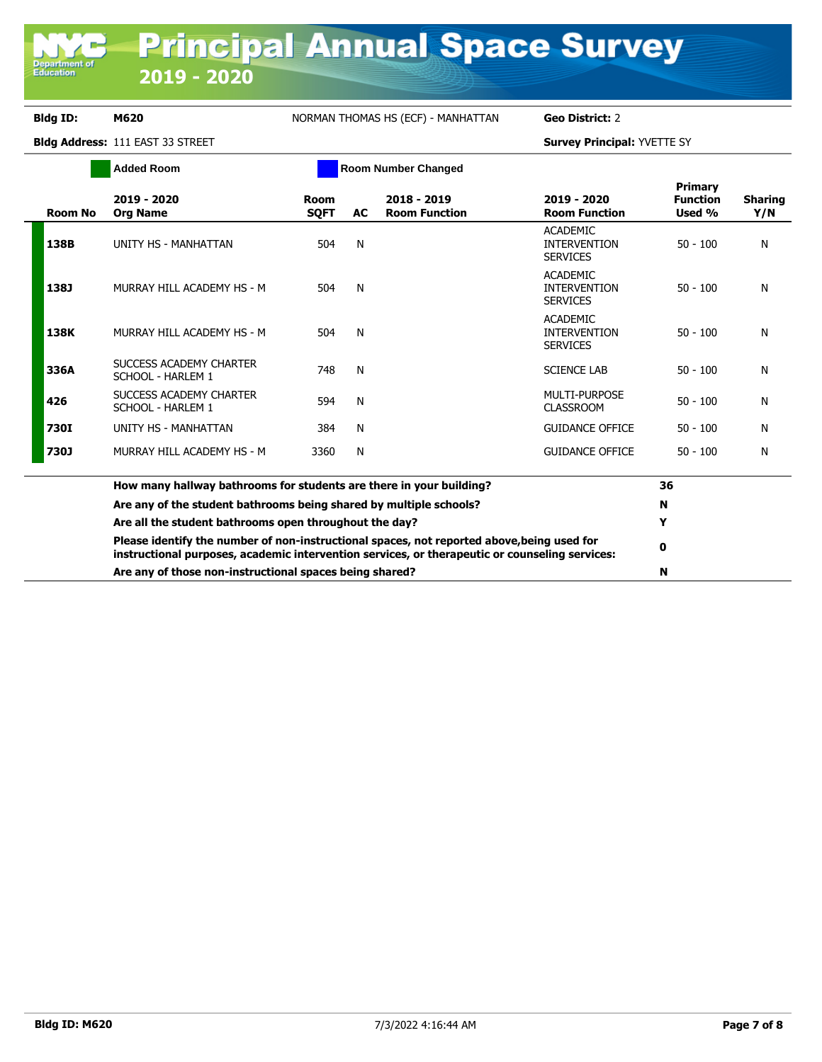**Department of**<br>Education

## **Bldg ID: M620** NORMAN THOMAS HS (ECF) - MANHATTAN **Geo District:** 2

|                | <b>Added Room</b>                                                                                                                                                                            |                            |           | <b>Room Number Changed</b>          |                                                           |                                      |                       |
|----------------|----------------------------------------------------------------------------------------------------------------------------------------------------------------------------------------------|----------------------------|-----------|-------------------------------------|-----------------------------------------------------------|--------------------------------------|-----------------------|
| <b>Room No</b> | 2019 - 2020<br><b>Org Name</b>                                                                                                                                                               | <b>Room</b><br><b>SOFT</b> | <b>AC</b> | 2018 - 2019<br><b>Room Function</b> | 2019 - 2020<br><b>Room Function</b>                       | Primary<br><b>Function</b><br>Used % | <b>Sharing</b><br>Y/N |
| 138B           | UNITY HS - MANHATTAN                                                                                                                                                                         | 504                        | N         |                                     | <b>ACADEMIC</b><br><b>INTERVENTION</b><br><b>SERVICES</b> | $50 - 100$                           | N                     |
| 138J           | MURRAY HILL ACADEMY HS - M                                                                                                                                                                   | 504                        | N         |                                     | <b>ACADEMIC</b><br><b>INTERVENTION</b><br><b>SERVICES</b> | $50 - 100$                           | N                     |
| 138K           | MURRAY HILL ACADEMY HS - M                                                                                                                                                                   | 504                        | N         |                                     | <b>ACADEMIC</b><br><b>INTERVENTION</b><br><b>SERVICES</b> | $50 - 100$                           | N                     |
| 336A           | SUCCESS ACADEMY CHARTER<br>SCHOOL - HARLEM 1                                                                                                                                                 | 748                        | N         |                                     | <b>SCIENCE LAB</b>                                        | $50 - 100$                           | N                     |
| 426            | SUCCESS ACADEMY CHARTER<br>SCHOOL - HARLEM 1                                                                                                                                                 | 594                        | N         |                                     | MULTI-PURPOSE<br><b>CLASSROOM</b>                         | $50 - 100$                           | N                     |
| <b>730I</b>    | UNITY HS - MANHATTAN                                                                                                                                                                         | 384                        | N         |                                     | <b>GUIDANCE OFFICE</b>                                    | $50 - 100$                           | N                     |
| 730J           | MURRAY HILL ACADEMY HS - M                                                                                                                                                                   | 3360                       | N         |                                     | <b>GUIDANCE OFFICE</b>                                    | $50 - 100$                           | N                     |
|                | How many hallway bathrooms for students are there in your building?                                                                                                                          |                            |           |                                     |                                                           | 36                                   |                       |
|                | Are any of the student bathrooms being shared by multiple schools?                                                                                                                           |                            | N         |                                     |                                                           |                                      |                       |
|                | Are all the student bathrooms open throughout the day?                                                                                                                                       |                            | Y         |                                     |                                                           |                                      |                       |
|                | Please identify the number of non-instructional spaces, not reported above, being used for<br>instructional purposes, academic intervention services, or therapeutic or counseling services: |                            |           |                                     |                                                           | 0                                    |                       |
|                | Are any of those non-instructional spaces being shared?                                                                                                                                      |                            |           | N                                   |                                                           |                                      |                       |